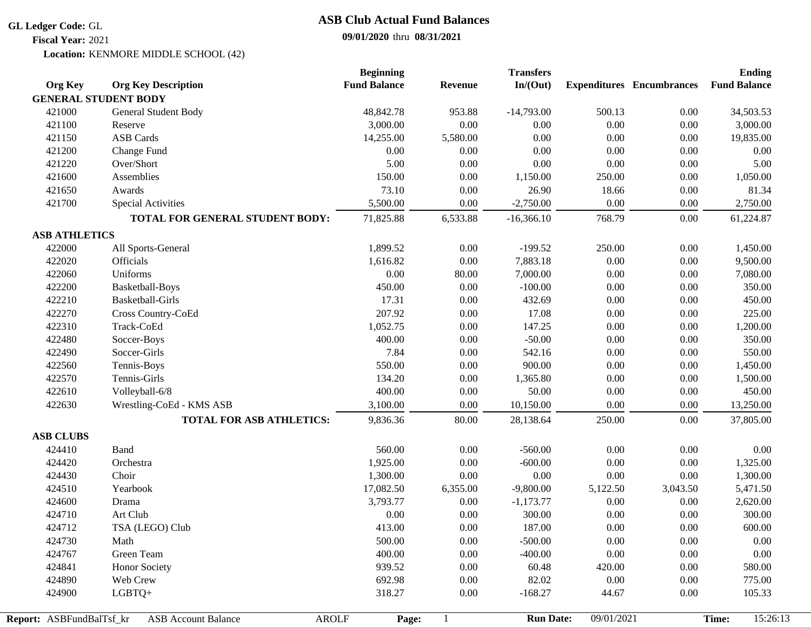## **GL Ledger Code:** GL

**Fiscal Year:** 2021

## **09/01/2020** thru **08/31/2021 ASB Club Actual Fund Balances**

Location: KENMORE MIDDLE SCHOOL (42)

|                          |                                 | <b>Beginning</b>    |                | <b>Transfers</b> |            |                                  | <b>Ending</b>       |
|--------------------------|---------------------------------|---------------------|----------------|------------------|------------|----------------------------------|---------------------|
| <b>Org Key</b>           | <b>Org Key Description</b>      | <b>Fund Balance</b> | <b>Revenue</b> | In/(Out)         |            | <b>Expenditures</b> Encumbrances | <b>Fund Balance</b> |
|                          | <b>GENERAL STUDENT BODY</b>     |                     |                |                  |            |                                  |                     |
| 421000                   | General Student Body            | 48,842.78           | 953.88         | $-14,793.00$     | 500.13     | 0.00                             | 34,503.53           |
| 421100                   | Reserve                         | 3,000.00            | 0.00           | 0.00             | 0.00       | 0.00                             | 3,000.00            |
| 421150                   | <b>ASB</b> Cards                | 14,255.00           | 5,580.00       | 0.00             | 0.00       | 0.00                             | 19,835.00           |
| 421200                   | Change Fund                     | $0.00\,$            | $0.00\,$       | 0.00             | 0.00       | 0.00                             | 0.00                |
| 421220                   | Over/Short                      | 5.00                | 0.00           | $0.00\,$         | 0.00       | 0.00                             | 5.00                |
| 421600                   | Assemblies                      | 150.00              | 0.00           | 1,150.00         | 250.00     | 0.00                             | 1,050.00            |
| 421650                   | Awards                          | 73.10               | 0.00           | 26.90            | 18.66      | 0.00                             | 81.34               |
| 421700                   | <b>Special Activities</b>       | 5,500.00            | 0.00           | $-2,750.00$      | 0.00       | 0.00                             | 2,750.00            |
|                          | TOTAL FOR GENERAL STUDENT BODY: | 71,825.88           | 6,533.88       | $-16,366.10$     | 768.79     | 0.00                             | 61,224.87           |
| <b>ASB ATHLETICS</b>     |                                 |                     |                |                  |            |                                  |                     |
| 422000                   | All Sports-General              | 1,899.52            | 0.00           | $-199.52$        | 250.00     | 0.00                             | 1,450.00            |
| 422020                   | Officials                       | 1,616.82            | 0.00           | 7,883.18         | 0.00       | 0.00                             | 9,500.00            |
| 422060                   | Uniforms                        | $0.00\,$            | 80.00          | 7,000.00         | 0.00       | 0.00                             | 7,080.00            |
| 422200                   | Basketball-Boys                 | 450.00              | 0.00           | $-100.00$        | 0.00       | 0.00                             | 350.00              |
| 422210                   | <b>Basketball-Girls</b>         | 17.31               | 0.00           | 432.69           | 0.00       | 0.00                             | 450.00              |
| 422270                   | Cross Country-CoEd              | 207.92              | 0.00           | 17.08            | 0.00       | 0.00                             | 225.00              |
| 422310                   | Track-CoEd                      | 1,052.75            | 0.00           | 147.25           | 0.00       | 0.00                             | 1,200.00            |
| 422480                   | Soccer-Boys                     | 400.00              | 0.00           | $-50.00$         | 0.00       | $0.00\,$                         | 350.00              |
| 422490                   | Soccer-Girls                    | 7.84                | 0.00           | 542.16           | 0.00       | 0.00                             | 550.00              |
| 422560                   | Tennis-Boys                     | 550.00              | $0.00\,$       | 900.00           | 0.00       | 0.00                             | 1,450.00            |
| 422570                   | Tennis-Girls                    | 134.20              | 0.00           | 1,365.80         | 0.00       | 0.00                             | 1,500.00            |
| 422610                   | Volleyball-6/8                  | 400.00              | $0.00\,$       | 50.00            | 0.00       | 0.00                             | 450.00              |
| 422630                   | Wrestling-CoEd - KMS ASB        | 3,100.00            | 0.00           | 10,150.00        | 0.00       | 0.00                             | 13,250.00           |
|                          | <b>TOTAL FOR ASB ATHLETICS:</b> | 9,836.36            | 80.00          | 28,138.64        | 250.00     | 0.00                             | 37,805.00           |
| <b>ASB CLUBS</b>         |                                 |                     |                |                  |            |                                  |                     |
| 424410                   | Band                            | 560.00              | 0.00           | $-560.00$        | 0.00       | $0.00\,$                         | $0.00\,$            |
| 424420                   | Orchestra                       | 1,925.00            | 0.00           | $-600.00$        | 0.00       | 0.00                             | 1,325.00            |
| 424430                   | Choir                           | 1,300.00            | $0.00\,$       | $0.00\,$         | 0.00       | 0.00                             | 1,300.00            |
| 424510                   | Yearbook                        | 17,082.50           | 6,355.00       | $-9,800.00$      | 5,122.50   | 3,043.50                         | 5,471.50            |
| 424600                   | Drama                           | 3,793.77            | 0.00           | $-1,173.77$      | 0.00       | 0.00                             | 2,620.00            |
| 424710                   | Art Club                        | 0.00                | 0.00           | 300.00           | 0.00       | 0.00                             | 300.00              |
| 424712                   | TSA (LEGO) Club                 | 413.00              | 0.00           | 187.00           | 0.00       | 0.00                             | 600.00              |
| 424730                   | Math                            | 500.00              | 0.00           | $-500.00$        | 0.00       | 0.00                             | 0.00                |
| 424767                   | Green Team                      | 400.00              | 0.00           | $-400.00$        | 0.00       | 0.00                             | $0.00\,$            |
| 424841                   | Honor Society                   | 939.52              | 0.00           | 60.48            | 420.00     | 0.00                             | 580.00              |
| 424890                   | Web Crew                        | 692.98              | 0.00           | 82.02            | 0.00       | 0.00                             | 775.00              |
| 424900                   | LGBTQ+                          | 318.27              | 0.00           | $-168.27$        | 44.67      | 0.00                             | 105.33              |
|                          | <b>AROLF</b>                    |                     |                | <b>Run Date:</b> | 09/01/2021 |                                  | 15:26:13<br>Time:   |
| Report: ASBFundBalTsf_kr | <b>ASB Account Balance</b>      | Page:               | $\mathbf{1}$   |                  |            |                                  |                     |